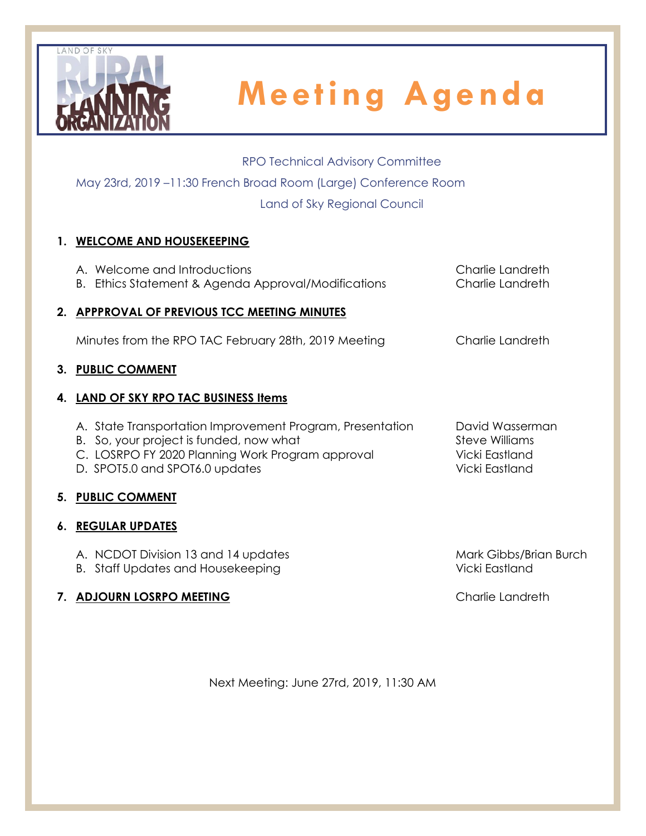

### RPO Technical Advisory Committee

May 23rd, 2019 –11:30 French Broad Room (Large) Conference Room

Land of Sky Regional Council

# **1. WELCOME AND HOUSEKEEPING**

| A. Welcome and Introductions<br>B. Ethics Statement & Agenda Approval/Modifications                                                                                                        | Charlie Landreth<br>Charlie Landreth                                         |
|--------------------------------------------------------------------------------------------------------------------------------------------------------------------------------------------|------------------------------------------------------------------------------|
| 2. APPPROVAL OF PREVIOUS TCC MEETING MINUTES                                                                                                                                               |                                                                              |
| Minutes from the RPO TAC February 28th, 2019 Meeting                                                                                                                                       | Charlie Landreth                                                             |
| 3. PUBLIC COMMENT                                                                                                                                                                          |                                                                              |
| 4. LAND OF SKY RPO TAC BUSINESS Items                                                                                                                                                      |                                                                              |
| A. State Transportation Improvement Program, Presentation<br>B. So, your project is funded, now what<br>C. LOSRPO FY 2020 Planning Work Program approval<br>D. SPOT5.0 and SPOT6.0 updates | David Wasserman<br><b>Steve Williams</b><br>Vicki Eastland<br>Vicki Eastland |
| 5. PUBLIC COMMENT                                                                                                                                                                          |                                                                              |
| <b>6. REGULAR UPDATES</b>                                                                                                                                                                  |                                                                              |
| A. NCDOT Division 13 and 14 updates                                                                                                                                                        | Mark Gibbs/Brian Burch                                                       |

B. Staff Updates and Housekeeping Vicki Eastland

# **7. ADJOURN LOSRPO MEETING** Charlie Landreth

Next Meeting: June 27rd, 2019, 11:30 AM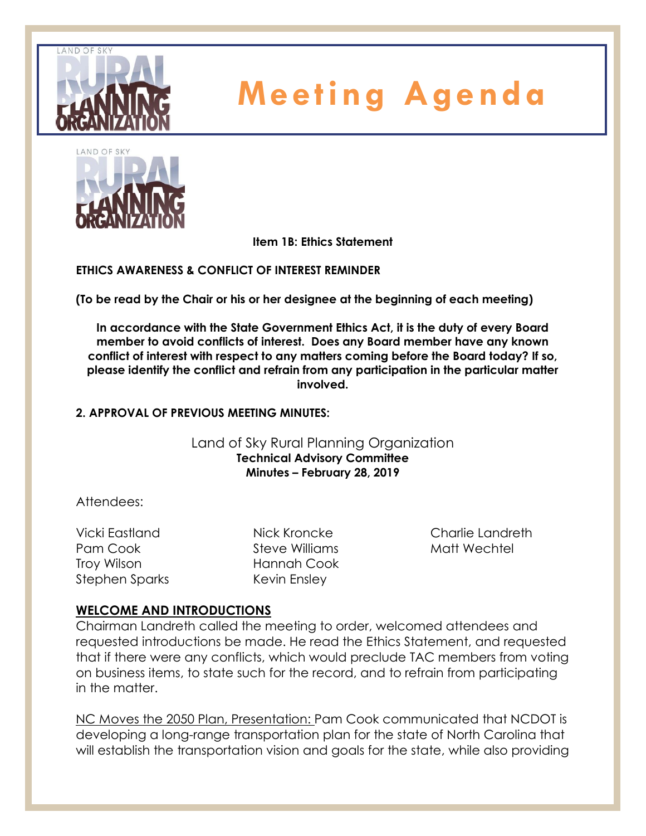



**Item 1B: Ethics Statement**

**ETHICS AWARENESS & CONFLICT OF INTEREST REMINDER** 

**(To be read by the Chair or his or her designee at the beginning of each meeting)** 

**In accordance with the State Government Ethics Act, it is the duty of every Board member to avoid conflicts of interest. Does any Board member have any known conflict of interest with respect to any matters coming before the Board today? If so, please identify the conflict and refrain from any participation in the particular matter involved.**

### **2. APPROVAL OF PREVIOUS MEETING MINUTES:**

Land of Sky Rural Planning Organization **Technical Advisory Committee Minutes – February 28, 2019**

Attendees:

Vicki Eastland Pam Cook Troy Wilson Stephen Sparks Nick Kroncke Steve Williams Hannah Cook Kevin Ensley

Charlie Landreth Matt Wechtel

# **WELCOME AND INTRODUCTIONS**

Chairman Landreth called the meeting to order, welcomed attendees and requested introductions be made. He read the Ethics Statement, and requested that if there were any conflicts, which would preclude TAC members from voting on business items, to state such for the record, and to refrain from participating in the matter.

NC Moves the 2050 Plan, Presentation: Pam Cook communicated that NCDOT is developing a long-range transportation plan for the state of North Carolina that will establish the transportation vision and goals for the state, while also providing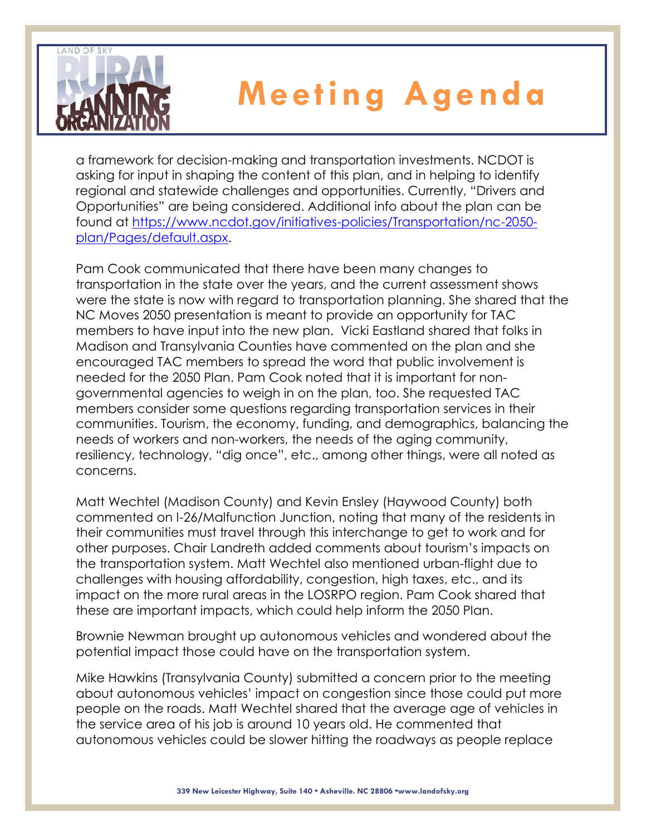

a framework for decision-making and transportation investments. NCDOT is asking for input in shaping the content of this plan, and in helping to identify regional and statewide challenges and opportunities. Currently, "Drivers and Opportunities" are being considered. Additional info about the plan can be found at [https://www.ncdot.gov/initiatives-policies/Transportation/nc-2050](https://www.ncdot.gov/initiatives-policies/Transportation/nc-2050-plan/Pages/default.aspx) [plan/Pages/default.aspx.](https://www.ncdot.gov/initiatives-policies/Transportation/nc-2050-plan/Pages/default.aspx)

Pam Cook communicated that there have been many changes to transportation in the state over the years, and the current assessment shows were the state is now with regard to transportation planning. She shared that the NC Moves 2050 presentation is meant to provide an opportunity for TAC members to have input into the new plan. Vicki Eastland shared that folks in Madison and Transylvania Counties have commented on the plan and she encouraged TAC members to spread the word that public involvement is needed for the 2050 Plan. Pam Cook noted that it is important for nongovernmental agencies to weigh in on the plan, too. She requested TAC members consider some questions regarding transportation services in their communities. Tourism, the economy, funding, and demographics, balancing the needs of workers and non-workers, the needs of the aging community, resiliency, technology, "dig once", etc., among other things, were all noted as concerns.

Matt Wechtel (Madison County) and Kevin Ensley (Haywood County) both commented on I-26/Malfunction Junction, noting that many of the residents in their communities must travel through this interchange to get to work and for other purposes. Chair Landreth added comments about tourism's impacts on the transportation system. Matt Wechtel also mentioned urban-flight due to challenges with housing affordability, congestion, high taxes, etc., and its impact on the more rural areas in the LOSRPO region. Pam Cook shared that these are important impacts, which could help inform the 2050 Plan.

Brownie Newman brought up autonomous vehicles and wondered about the potential impact those could have on the transportation system.

Mike Hawkins (Transylvania County) submitted a concern prior to the meeting about autonomous vehicles' impact on congestion since those could put more people on the roads. Matt Wechtel shared that the average age of vehicles in the service area of his job is around 10 years old. He commented that autonomous vehicles could be slower hitting the roadways as people replace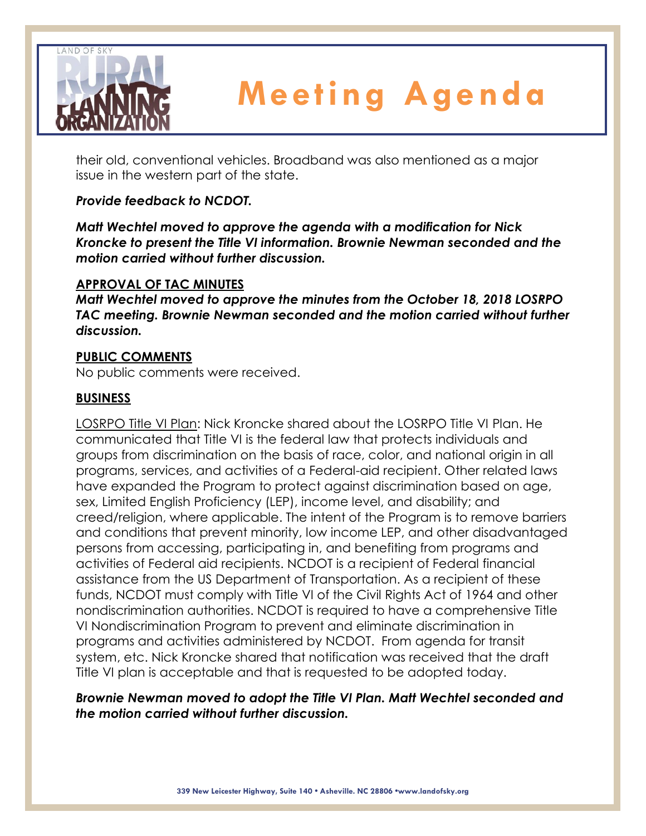

their old, conventional vehicles. Broadband was also mentioned as a major issue in the western part of the state.

# *Provide feedback to NCDOT.*

*Matt Wechtel moved to approve the agenda with a modification for Nick Kroncke to present the Title VI information. Brownie Newman seconded and the motion carried without further discussion.*

### **APPROVAL OF TAC MINUTES**

*Matt Wechtel moved to approve the minutes from the October 18, 2018 LOSRPO TAC meeting. Brownie Newman seconded and the motion carried without further discussion.*

# **PUBLIC COMMENTS**

No public comments were received.

# **BUSINESS**

LOSRPO Title VI Plan: Nick Kroncke shared about the LOSRPO Title VI Plan. He communicated that Title VI is the federal law that protects individuals and groups from discrimination on the basis of race, color, and national origin in all programs, services, and activities of a Federal-aid recipient. Other related laws have expanded the Program to protect against discrimination based on age, sex, Limited English Proficiency (LEP), income level, and disability; and creed/religion, where applicable. The intent of the Program is to remove barriers and conditions that prevent minority, low income LEP, and other disadvantaged persons from accessing, participating in, and benefiting from programs and activities of Federal aid recipients. NCDOT is a recipient of Federal financial assistance from the US Department of Transportation. As a recipient of these funds, NCDOT must comply with Title VI of the Civil Rights Act of 1964 and other nondiscrimination authorities. NCDOT is required to have a comprehensive Title VI Nondiscrimination Program to prevent and eliminate discrimination in programs and activities administered by NCDOT. From agenda for transit system, etc. Nick Kroncke shared that notification was received that the draft Title VI plan is acceptable and that is requested to be adopted today.

# *Brownie Newman moved to adopt the Title VI Plan. Matt Wechtel seconded and the motion carried without further discussion.*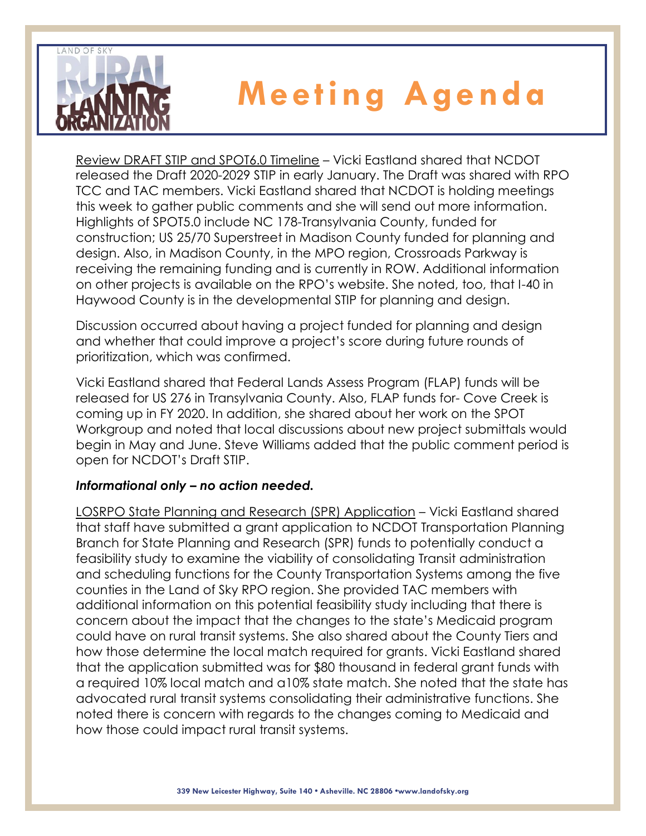

Review DRAFT STIP and SPOT6.0 Timeline – Vicki Eastland shared that NCDOT released the Draft 2020-2029 STIP in early January. The Draft was shared with RPO TCC and TAC members. Vicki Eastland shared that NCDOT is holding meetings this week to gather public comments and she will send out more information. Highlights of SPOT5.0 include NC 178-Transylvania County, funded for construction; US 25/70 Superstreet in Madison County funded for planning and design. Also, in Madison County, in the MPO region, Crossroads Parkway is receiving the remaining funding and is currently in ROW. Additional information on other projects is available on the RPO's website. She noted, too, that I-40 in Haywood County is in the developmental STIP for planning and design.

Discussion occurred about having a project funded for planning and design and whether that could improve a project's score during future rounds of prioritization, which was confirmed.

Vicki Eastland shared that Federal Lands Assess Program (FLAP) funds will be released for US 276 in Transylvania County. Also, FLAP funds for- Cove Creek is coming up in FY 2020. In addition, she shared about her work on the SPOT Workgroup and noted that local discussions about new project submittals would begin in May and June. Steve Williams added that the public comment period is open for NCDOT's Draft STIP.

# *Informational only – no action needed.*

LOSRPO State Planning and Research (SPR) Application – Vicki Eastland shared that staff have submitted a grant application to NCDOT Transportation Planning Branch for State Planning and Research (SPR) funds to potentially conduct a feasibility study to examine the viability of consolidating Transit administration and scheduling functions for the County Transportation Systems among the five counties in the Land of Sky RPO region. She provided TAC members with additional information on this potential feasibility study including that there is concern about the impact that the changes to the state's Medicaid program could have on rural transit systems. She also shared about the County Tiers and how those determine the local match required for grants. Vicki Eastland shared that the application submitted was for \$80 thousand in federal grant funds with a required 10% local match and a10% state match. She noted that the state has advocated rural transit systems consolidating their administrative functions. She noted there is concern with regards to the changes coming to Medicaid and how those could impact rural transit systems.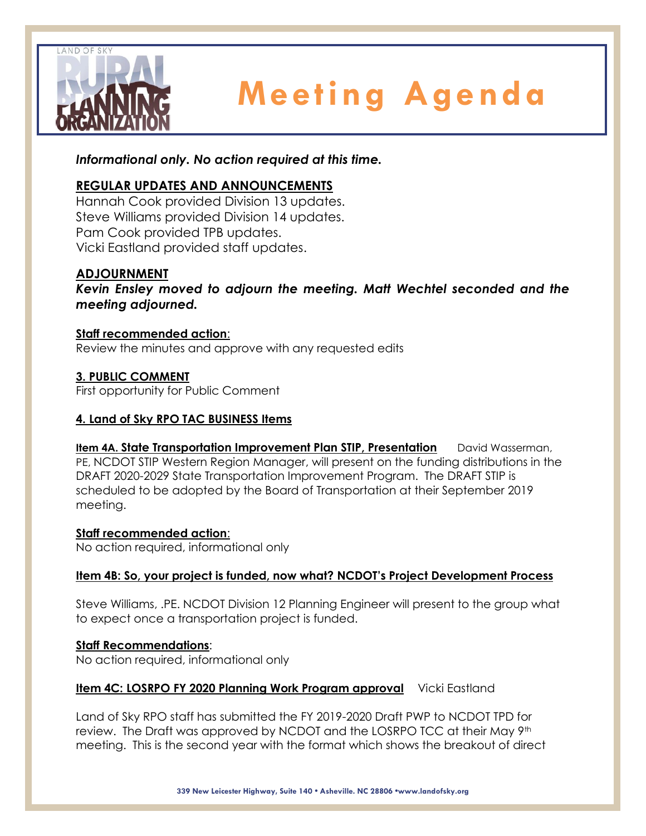

*Informational only. No action required at this time.*

# **REGULAR UPDATES AND ANNOUNCEMENTS**

Hannah Cook provided Division 13 updates. Steve Williams provided Division 14 updates. Pam Cook provided TPB updates. Vicki Eastland provided staff updates.

# **ADJOURNMENT**

*Kevin Ensley moved to adjourn the meeting. Matt Wechtel seconded and the meeting adjourned.*

### **Staff recommended action**:

Review the minutes and approve with any requested edits

### **3. PUBLIC COMMENT**

First opportunity for Public Comment

### **4. Land of Sky RPO TAC BUSINESS Items**

**Item 4A. State Transportation Improvement Plan STIP, Presentation** David Wasserman, PE, NCDOT STIP Western Region Manager, will present on the funding distributions in the DRAFT 2020-2029 State Transportation Improvement Program. The DRAFT STIP is scheduled to be adopted by the Board of Transportation at their September 2019 meeting.

**Staff recommended action**:

No action required, informational only

### **Item 4B: So, your project is funded, now what? NCDOT's Project Development Process**

Steve Williams, .PE. NCDOT Division 12 Planning Engineer will present to the group what to expect once a transportation project is funded.

### **Staff Recommendations**:

No action required, informational only

### **Item 4C: LOSRPO FY 2020 Planning Work Program approval** Vicki Eastland

Land of Sky RPO staff has submitted the FY 2019-2020 Draft PWP to NCDOT TPD for review. The Draft was approved by NCDOT and the LOSRPO TCC at their May 9<sup>th</sup> meeting. This is the second year with the format which shows the breakout of direct